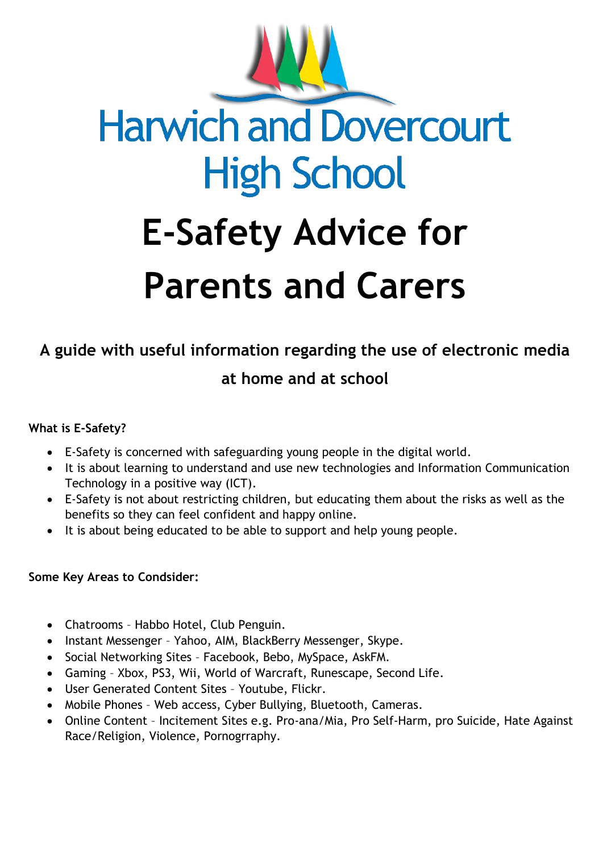

# **A guide with useful information regarding the use of electronic media**

# **at home and at school**

## **What is E-Safety?**

- E-Safety is concerned with safeguarding young people in the digital world.
- It is about learning to understand and use new technologies and Information Communication Technology in a positive way (ICT).
- E-Safety is not about restricting children, but educating them about the risks as well as the benefits so they can feel confident and happy online.
- It is about being educated to be able to support and help young people.

#### **Some Key Areas to Condsider:**

- Chatrooms Habbo Hotel, Club Penguin.
- Instant Messenger Yahoo, AIM, BlackBerry Messenger, Skype.
- Social Networking Sites Facebook, Bebo, MySpace, AskFM.
- Gaming Xbox, PS3, Wii, World of Warcraft, Runescape, Second Life.
- User Generated Content Sites Youtube, Flickr.
- Mobile Phones Web access, Cyber Bullying, Bluetooth, Cameras.
- Online Content Incitement Sites e.g. Pro-ana/Mia, Pro Self-Harm, pro Suicide, Hate Against Race/Religion, Violence, Pornogrraphy.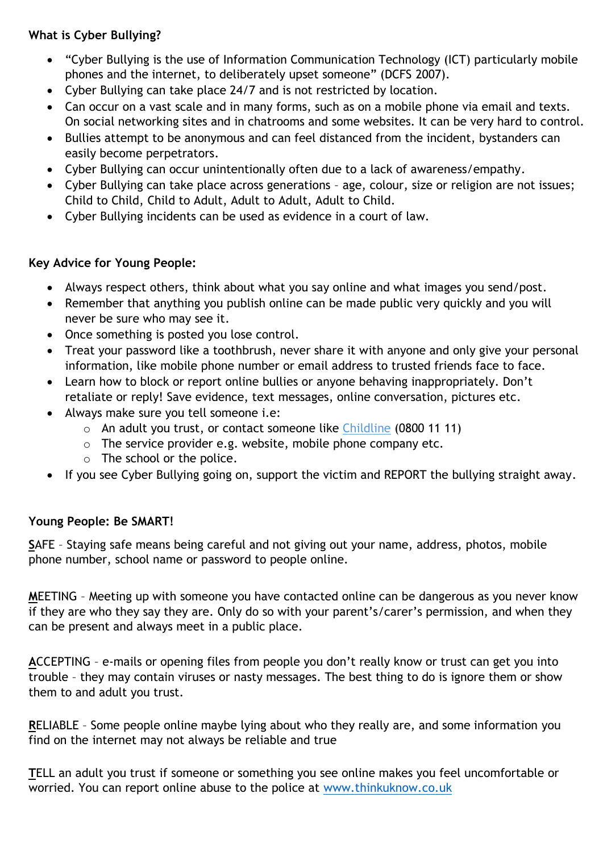## **What is Cyber Bullying?**

- "Cyber Bullying is the use of Information Communication Technology (ICT) particularly mobile phones and the internet, to deliberately upset someone" (DCFS 2007).
- Cyber Bullying can take place 24/7 and is not restricted by location.
- Can occur on a vast scale and in many forms, such as on a mobile phone via email and texts. On social networking sites and in chatrooms and some websites. It can be very hard to control.
- Bullies attempt to be anonymous and can feel distanced from the incident, bystanders can easily become perpetrators.
- Cyber Bullying can occur unintentionally often due to a lack of awareness/empathy.
- Cyber Bullying can take place across generations age, colour, size or religion are not issues; Child to Child, Child to Adult, Adult to Adult, Adult to Child.
- Cyber Bullying incidents can be used as evidence in a court of law.

## **Key Advice for Young People:**

- Always respect others, think about what you say online and what images you send/post.
- Remember that anything you publish online can be made public very quickly and you will never be sure who may see it.
- Once something is posted you lose control.
- Treat your password like a toothbrush, never share it with anyone and only give your personal information, like mobile phone number or email address to trusted friends face to face.
- Learn how to block or report online bullies or anyone behaving inappropriately. Don't retaliate or reply! Save evidence, text messages, online conversation, pictures etc.
- Always make sure you tell someone i.e:
	- o An adult you trust, or contact someone like Childline (0800 11 11)
	- o The service provider e.g. website, mobile phone company etc.
	- o The school or the police.
- If you see Cyber Bullying going on, support the victim and REPORT the bullying straight away.

#### **Young People: Be SMART!**

**S**AFE – Staying safe means being careful and not giving out your name, address, photos, mobile phone number, school name or password to people online.

**M**EETING – Meeting up with someone you have contacted online can be dangerous as you never know if they are who they say they are. Only do so with your parent's/carer's permission, and when they can be present and always meet in a public place.

**A**CCEPTING – e-mails or opening files from people you don't really know or trust can get you into trouble – they may contain viruses or nasty messages. The best thing to do is ignore them or show them to and adult you trust.

**R**ELIABLE – Some people online maybe lying about who they really are, and some information you find on the internet may not always be reliable and true

**T**ELL an adult you trust if someone or something you see online makes you feel uncomfortable or worried. You can report online abuse to the police at [www.thinkuknow.co.uk](http://www.thinkuknow.co.uk/)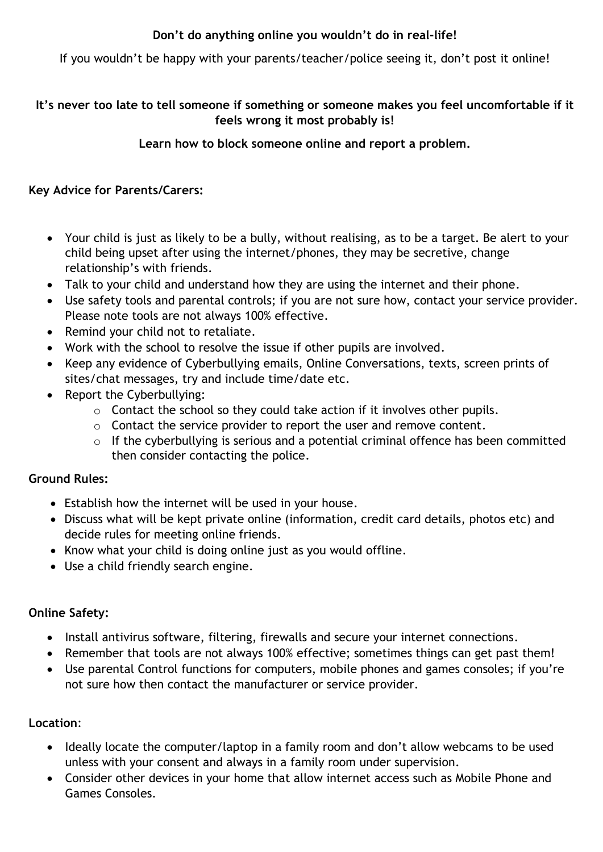# **Don't do anything online you wouldn't do in real-life!**

If you wouldn't be happy with your parents/teacher/police seeing it, don't post it online!

## **It's never too late to tell someone if something or someone makes you feel uncomfortable if it feels wrong it most probably is!**

**Learn how to block someone online and report a problem.**

#### **Key Advice for Parents/Carers:**

- Your child is just as likely to be a bully, without realising, as to be a target. Be alert to your child being upset after using the internet/phones, they may be secretive, change relationship's with friends.
- Talk to your child and understand how they are using the internet and their phone.
- Use safety tools and parental controls; if you are not sure how, contact your service provider. Please note tools are not always 100% effective.
- Remind your child not to retaliate.
- Work with the school to resolve the issue if other pupils are involved.
- Keep any evidence of Cyberbullying emails, Online Conversations, texts, screen prints of sites/chat messages, try and include time/date etc.
- Report the Cyberbullying:
	- o Contact the school so they could take action if it involves other pupils.
	- o Contact the service provider to report the user and remove content.
	- o If the cyberbullying is serious and a potential criminal offence has been committed then consider contacting the police.

## **Ground Rules:**

- Establish how the internet will be used in your house.
- Discuss what will be kept private online (information, credit card details, photos etc) and decide rules for meeting online friends.
- Know what your child is doing online just as you would offline.
- Use a child friendly search engine.

## **Online Safety:**

- Install antivirus software, filtering, firewalls and secure your internet connections.
- Remember that tools are not always 100% effective; sometimes things can get past them!
- Use parental Control functions for computers, mobile phones and games consoles; if you're not sure how then contact the manufacturer or service provider.

#### **Location**:

- Ideally locate the computer/laptop in a family room and don't allow webcams to be used unless with your consent and always in a family room under supervision.
- Consider other devices in your home that allow internet access such as Mobile Phone and Games Consoles.